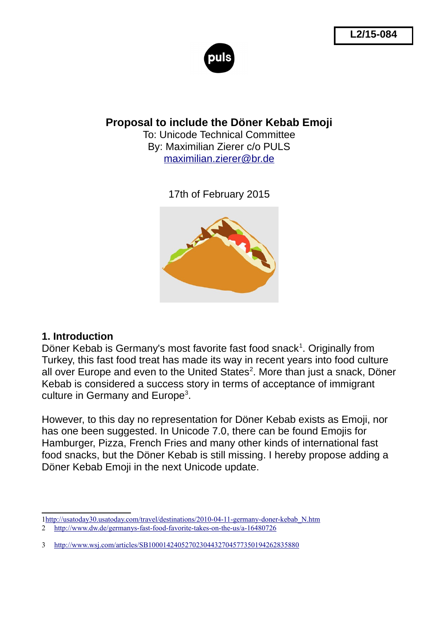

**Proposal to include the Döner Kebab Emoji**

To: Unicode Technical Committee By: Maximilian Zierer c/o PULS [maximilian.zierer@br.de](mailto:maximilian.zierer@br.de)

17th of February 2015



#### **1. Introduction**

Döner Kebab is Germany's most favorite fast food snack $<sup>1</sup>$  $<sup>1</sup>$  $<sup>1</sup>$ . Originally from</sup> Turkey, this fast food treat has made its way in recent years into food culture all over Europe and even to the United States<sup>[2](#page-0-1)</sup>. More than just a snack, Döner Kebab is considered a success story in terms of acceptance of immigrant culture in Germany and Europe $3$ .

However, to this day no representation for Döner Kebab exists as Emoji, nor has one been suggested. In Unicode 7.0, there can be found Emojis for Hamburger, Pizza, French Fries and many other kinds of international fast food snacks, but the Döner Kebab is still missing. I hereby propose adding a Döner Kebab Emoji in the next Unicode update.

<span id="page-0-1"></span><span id="page-0-0"></span>[<sup>1</sup>http://usatoday30.usatoday.com/travel/destinations/2010-04-11-germany-doner-kebab\\_N.htm](http://usatoday30.usatoday.com/travel/destinations/2010-04-11-germany-doner-kebab_N.htm) 2 <http://www.dw.de/germanys-fast-food-favorite-takes-on-the-us/a-16480726>

<span id="page-0-2"></span><sup>3</sup> <http://www.wsj.com/articles/SB10001424052702304432704577350194262835880>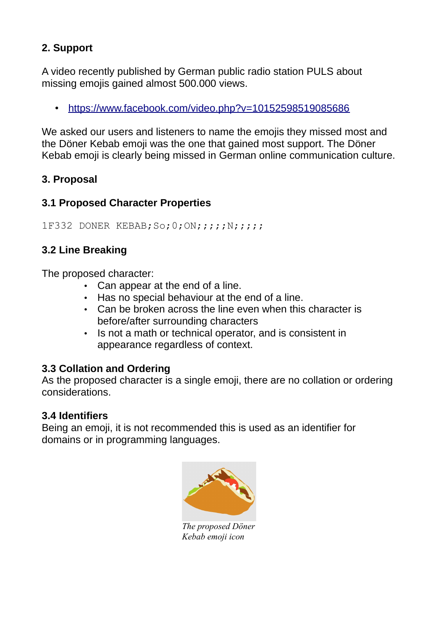# **2. Support**

A video recently published by German public radio station PULS about missing emojis gained almost 500.000 views.

• <https://www.facebook.com/video.php?v=10152598519085686>

We asked our users and listeners to name the emojis they missed most and the Döner Kebab emoji was the one that gained most support. The Döner Kebab emoji is clearly being missed in German online communication culture.

## **3. Proposal**

## **3.1 Proposed Character Properties**

1F332 DONER KEBAB; So; 0; ON; ;;;; N; ;;;;

## **3.2 Line Breaking**

The proposed character:

- Can appear at the end of a line.
- Has no special behaviour at the end of a line.
- Can be broken across the line even when this character is before/after surrounding characters
- Is not a math or technical operator, and is consistent in appearance regardless of context.

## **3.3 Collation and Ordering**

As the proposed character is a single emoji, there are no collation or ordering considerations.

## **3.4 Identifiers**

Being an emoji, it is not recommended this is used as an identifier for domains or in programming languages.



*The proposed Döner Kebab emoji icon*